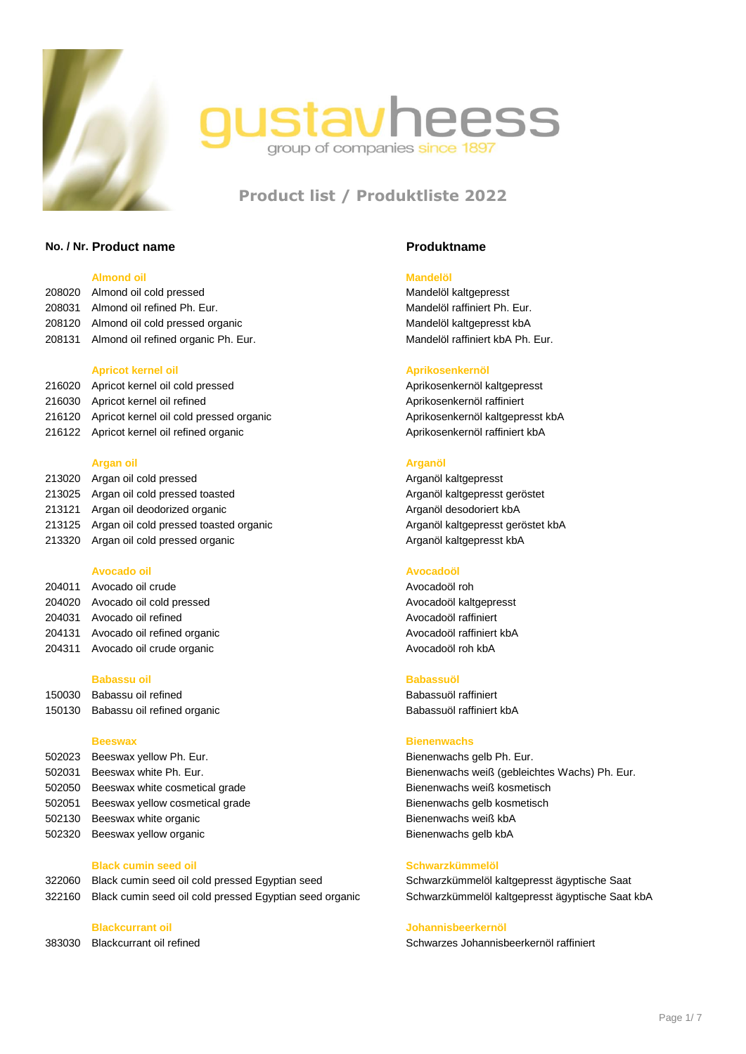



# **Product list / Produktliste 2022**

# **No. / Nr. Product name Produktname**

### **Almond oil Mandelöl**

| 208020 Almond oil cold pressed             |
|--------------------------------------------|
| 208031 Almond oil refined Ph. Eur.         |
| 208120 Almond oil cold pressed organic     |
| 208131 Almond oil refined organic Ph. Eur. |
|                                            |
| .                                          |

216020 Apricot kernel oil cold pressed Apricosenkernöl kaltgepresst 216030 Apricot kernel oil refined Apricot kernel oil refined Aprikosenkernöl raffiniert 216120 Apricot kernel oil cold pressed organic Aprikosenkernöl kaltgepresst kbA 216122 Apricot kernel oil refined organic **Apricor Apricosenternöl raffiniert kbA** Aprikosenkernöl raffiniert kbA

### **Argan oil Arganöl**

| 213020 Argan oil cold pressed                |
|----------------------------------------------|
| 213025 Argan oil cold pressed toasted        |
| 213121 Argan oil deodorized organic          |
| 213125 Argan oil cold pressed toasted organi |
| 213320 Argan oil cold pressed organic        |

### **Avocado oil Avocadoöl**

204011 Avocado oil crude Avocadoöl rohanger Avocadoöl rohanger Avocadoöl rohanger Avocadoöl rohanger Avocadoöl roh 204020 Avocado oil cold pressed Avocadoöl kaltgepresst 204031 Avocado oil refined and a series are a series and a series and a series are a series and a series and a 204131 Avocado oil refined organic **Avocadoöl raffiniert kbA** 204311 Avocado oil crude organic Avocadoöl roh kbA

# **Babassu oil Babassuöl**

150030 Babassu oil refined and a series of the Babassuöl raffiniert babassum babassum babassum and the Babassuöl raffiniert 150130 Babassu oil refined organic Babassuöl raffiniert kbA

502023 Beeswax yellow Ph. Eur. **Bienenwachs gelb Ph. Eur.** Bienenwachs gelb Ph. Eur. Beeswax white cosmetical grade Bienenwachs weiß kosmetisch Beeswax yellow cosmetical grade Bienenwachs gelb kosmetisch Beeswax white organic Bienenwachs weiß kbA Beeswax yellow organic Bienenwachs gelb kbA

### **Black cumin seed oil Schwarzkümmelöl**

322060 Black cumin seed oil cold pressed Egyptian seed Schwarzkümmelöl kaltgepresst ägyptische Saat 322160 Black cumin seed oil cold pressed Egyptian seed organic Schwarzkümmelöl kaltgepresst ägyptische Saat kbA

Mandelöl kaltgepresst Mandelöl raffiniert Ph. Eur. Mandelöl kaltgepresst kbA Mandelöl raffiniert kbA Ph. Eur.

### **Apricot kernel oil Aprikosenkernöl**

Arganöl kaltgepresst Arganöl kaltgepresst geröstet Arganöl desodoriert kbA 21313 ic<br>21313 Arganöl kaltgepresst geröstet kbA Arganöl kaltgepresst kbA

### **Beeswax Bienenwachs**

502031 Beeswax white Ph. Eur. Bienenwachs weiß (gebleichtes Wachs) Ph. Eur.

# **Blackcurrant oil Johannisbeerkernöl**

383030 Blackcurrant oil refined Schwarzes Johannisbeerkernöl raffiniert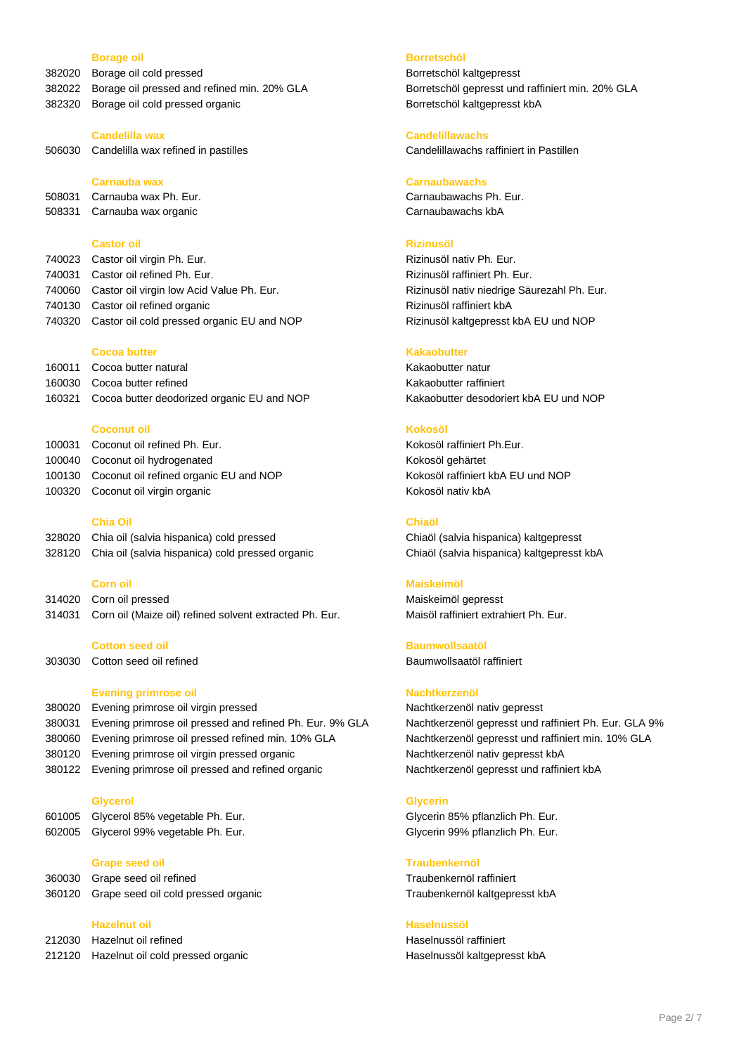- 382020 Borage oil cold pressed Borge Borge Borge Borge Borge Borge Borge Borge Borge Borge Borge Borge Borge B
- 
- 382320 Borage oil cold pressed organic Borretschöl kaltgepresst kbA

506030 Candelilla wax refined in pastilles Candelillawachs raffiniert in Pastillen

508331 Carnauba wax organic Carnaubawachs kbA

## **Castor oil Rizinusöl**

| 740023 Castor oil virgin Ph. Eur.                 |
|---------------------------------------------------|
| 740031 Castor oil refined Ph. Eur.                |
| 740060 Castor oil virgin low Acid Value Ph. Eur.  |
| 740130 Castor oil refined organic                 |
| 740320 Castor oil cold pressed organic EU and NOP |

### **Cocoa butter Kakaobutter**

160011 Cocoa butter natural Kakaobutter natur 160030 Cocoa butter refined **Kakaobutter raffiniert** Kakaobutter raffiniert 160321 Cocoa butter deodorized organic EU and NOP Kakaobutter desodoriert kbA EU und NOP

### **Coconut oil Kokosöl**

| 100031 Coconut oil refined Ph. Eur.           |
|-----------------------------------------------|
| 100040 Coconut oil hydrogenated               |
| 100130 Coconut oil refined organic EU and NOP |
| 100320 Coconut oil virgin organic             |

### **Chia Oil Chiaöl**

| 328020 Chia oil (salvia hispanica) cold pressed         |
|---------------------------------------------------------|
| 328120 Chia oil (salvia hispanica) cold pressed organic |

314020 Corn oil pressed Maiskeimöl gepresst 314031 Corn oil (Maize oil) refined solvent extracted Ph. Eur. Maisöl raffiniert extrahiert Ph. Eur.

303030 Cotton seed oil refined Baumwollsaatöl raffiniert

# **Evening primrose oil Nachtkerzenöl**

380020 Evening primrose oil virgin pressed Nachtkerzenöl nativ gepresst 380031 Evening primrose oil pressed and refined Ph. Eur. 9% GLA Nachtkerzenöl gepresst und raffiniert Ph. Eur. GLA 9% 380060 Evening primrose oil pressed refined min. 10% GLA Nachtkerzenöl gepresst und raffiniert min. 10% GLA 380120 Evening primrose oil virgin pressed organic Nachtkerzenöl nativ gepresst kbA 380122 Evening primrose oil pressed and refined organic Nachtkerzenöl gepresst und raffiniert kbA

### **Glycerol Glycerin**

| 601005 Glycerol 85% vegetable Ph. Eur. |
|----------------------------------------|
| 602005 Glycerol 99% vegetable Ph. Eur. |

- 360030 Grape seed oil refined Traubenkernöl raffiniert
- 

# **Hazelnut oil Haselnussöl**

212030 Hazelnut oil refined **Haselnuss** and Haselnussöl raffiniert **Haselnuss** Haselnussöl raffiniert

### **Borage oil Borretschöl**

382022 Borage oil pressed and refined min. 20% GLA Borretschöl gepresst und raffiniert min. 20% GLA

### **Candelilla wax Candelillawachs**

### **Carnauba wax Carnaubawachs**

508031 Carnauba wax Ph. Eur. Carnaubawachs Ph. Eur.

Rizinusöl nativ Ph. Eur. Rizinusöl raffiniert Ph. Eur. Rizinusöl nativ niedrige Säurezahl Ph. Eur. Rizinusöl raffiniert kbA Rizinusöl kaltgepresst kbA EU und NOP

Kokosöl raffiniert Ph.Eur. Kokosöl gehärtet Kokosöl raffiniert kbA EU und NOP Kokosöl nativ kbA

Chiaöl (salvia hispanica) kaltgepresst c Chiaöl (salvia hispanica) kaltgepresst kbA

### **Corn oil Maiskeimöl**

## **Cotton seed oil Baumwollsaatöl**

Glycerin 85% pflanzlich Ph. Eur. Glycerin 99% pflanzlich Ph. Eur.

### **Grape seed oil Traubenkernöl**

360120 Grape seed oil cold pressed organic Traubenkernöl kaltgepresst kbA

212120 Hazelnut oil cold pressed organic **Haselnussöl kaltgepresst kbA**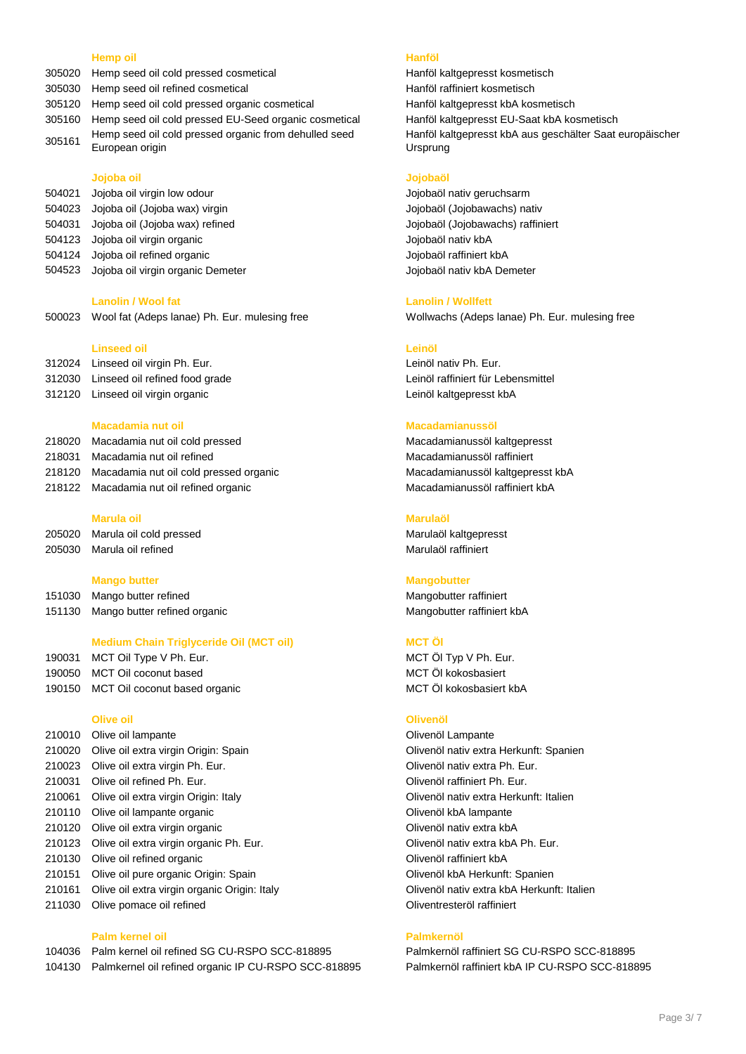### **Hemp oil Hanföl**

- 305020 Hemp seed oil cold pressed cosmetical Hanföl kaltgepresst kosmetisch
- 305030 Hemp seed oil refined cosmetical example and Hanföl raffiniert kosmetisch
- 305120 Hemp seed oil cold pressed organic cosmetical Hanföl kaltgepresst kbA kosmetisch
- 305160 Hemp seed oil cold pressed EU-Seed organic cosmetical Hanföl kaltgepresst EU-Saat kbA kosmetisch
- <sup>305161</sup> Hemp seed oil cold pressed organic from dehulled seed European origin

### **Jojoba oil Jojobaöl**

- 504021 Jojoba oil virgin low odour Jojobaöl nativ geruchsarm
- 
- 504123 Jojoba oil virgin organic Jojobaöl nativ kbA
- 504124 Jojoba oil refined organic Jojobaöl raffiniert kbA
- 504523 Jojoba oil virgin organic Demeter **Joseph Americ Constants and Americ Constants** Jojobaöl nativ kbA Demeter

500023 Wool fat (Adeps lanae) Ph. Eur. mulesing free Wollwachs (Adeps lanae) Ph. Eur. mulesing free

# **Linseed oil Leinöl**

312024 Linseed oil virgin Ph. Eur. Leinöl nativ Ph. Eur. 312030 Linseed oil refined food grade Leinöl raffiniert für Lebensmittel 312120 Linseed oil virgin organic Leinöl kaltgepresst kbA

|        | 218020 Macadamia nut oil cold pressed       |
|--------|---------------------------------------------|
| 218031 | Macadamia nut oil refined                   |
|        | 218120 Macadamia nut oil cold pressed organ |
|        | 218122 Macadamia nut oil refined organic    |

### **Marula oil Marulaöl**

| 205020 | Marula oil cold presse    |
|--------|---------------------------|
|        | 205030 Marula oil refined |

### **Mango butter Mangobutter**

151030 Mango butter refined and a settlement of the Mangobutter raffiniert materials and Mangobutter raffiniert 151130 Mango butter refined organic Mangobutter raffiniert kbA

# **Medium Chain Triglyceride Oil (MCT oil)** MCT ÖL

- 190031 MCT Oil Type V Ph. Eur. MCT Öl Typ V Ph. Eur.
- 190050 MCT Oil coconut based and a set of the MCT Oil kokosbasiert and MCT Öl kokosbasiert
- 190150 MCT Oil coconut based organic **MCT** OI kokosbasiert kbA

### **Olive oil Olivenöl**

- 210010 Olive oil lampante Olivenöl Lampante 210020 Olive oil extra virgin Origin: Spain Olivenöl nativ extra Herkunft: Spanien 210023 Olive oil extra virgin Ph. Eur. Olivenöl nativ extra Ph. Eur. 210031 Olive oil refined Ph. Eur. **De als and State Control of Control of Control Control of Control Control Control Control of Control Control Olivenöl raffiniert Ph. Eur.** 210061 Olive oil extra virgin Origin: Italy Olivenöl nativ extra Herkunft: Italien 210110 Olive oil lampante organic **Container and Colivenol kba lampante** Olivenöl kbA lampante 210120 Olive oil extra virgin organic Olivenöl nativ extra kbA 210123 Olive oil extra virgin organic Ph. Eur. Olivenöl nativ extra kbA Ph. Eur. 210130 Olive oil refined organic Care and Colivenöl raffiniert kbA 210151 Olive oil pure organic Origin: Spain Olivenöl kbA Herkunft: Spanien 210161 Olive oil extra virgin organic Origin: Italy Olivenöl nativ extra kbA Herkunft: Italien
- 211030 Olive pomace oil refined **Oliventresterol raffiniert** Oliventresteröl raffiniert

### **Palm kernel oil Palmkernöl**

104036 Palm kernel oil refined SG CU-RSPO SCC-818895 Palmkernöl raffiniert SG CU-RSPO SCC-818895 104130 Palmkernel oil refined organic IP CU-RSPO SCC-818895 Palmkernöl raffiniert kbA IP CU-RSPO SCC-818895

Hanföl kaltgepresst kbA aus geschälter Saat europäischer Ursprung

504023 Jojoba oil (Jojoba wax) virgin Jojobaöl (Jojobawachs) nativ 504031 Jojoba oil (Jojoba wax) refined Jojobaöl (Jojobawachs) raffiniert

### **Lanolin / Wool fat Lanolin / Wollfett**

### **Macadamia nut oil Macadamianussöl**

Macadamianussöl kaltgepresst Macadamianussöl raffiniert 12181 Macadamianussöl kaltgepresst kbA Macadamianussöl raffiniert kbA

205020 Marula oil cold pressed Marulaöl kaltgepresst Marulaöl raffiniert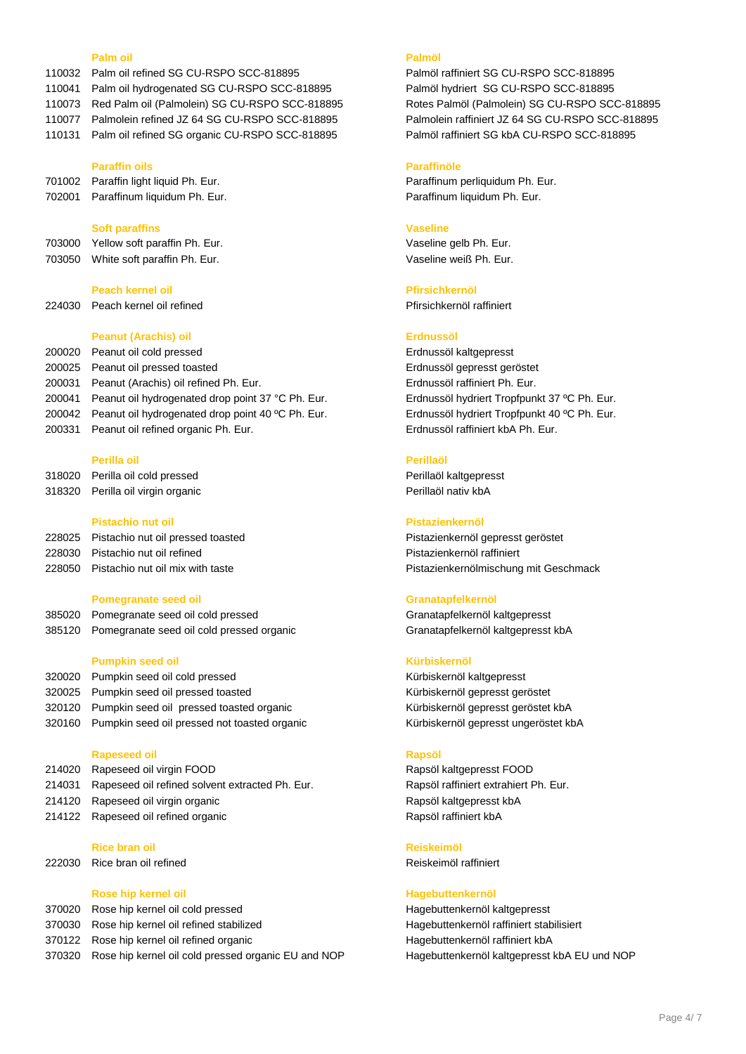### **Palm oil Palmöl**

- 110032 Palm oil refined SG CU-RSPO SCC-818895 Palmöl raffiniert SG CU-RSPO SCC-818895
- 110041 Palm oil hydrogenated SG CU-RSPO SCC-818895 Palmöl hydriert SG CU-RSPO SCC-818895
- 110073 Red Palm oil (Palmolein) SG CU-RSPO SCC-818895 Rotes Palmöl (Palmolein) SG CU-RSPO SCC-818895
- 110077 Palmolein refined JZ 64 SG CU-RSPO SCC-818895 Palmolein raffiniert JZ 64 SG CU-RSPO SCC-818895
- 110131 Palm oil refined SG organic CU-RSPO SCC-818895 Palmöl raffiniert SG kbA CU-RSPO SCC-818895

### **Paraffin oils Paraffinöle**

| 701002 | Paraffin light liquid Ph. Eur. |
|--------|--------------------------------|
| 702001 | Paraffinum liquidum Ph. Eur    |

### **Soft paraffins Vaseline**

703000 Yellow soft paraffin Ph. Eur. Vaseline gelb Ph. Eur. 703050 White soft paraffin Ph. Eur. Vaseline weiß Ph. Eur.

### **Peach kernel oil Pfirsichkernöl**

224030 Peach kernel oil refined **Primates and Pfirsichkernöl raffiniert** Pfirsichkernöl raffiniert

### **Peanut (Arachis) oil Erdnussöl**

 Peanut oil cold pressed Erdnussöl kaltgepresst Peanut oil pressed toasted Erdnussöl gepresst geröstet Peanut (Arachis) oil refined Ph. Eur. Erdnussöl raffiniert Ph. Eur. Peanut oil hydrogenated drop point 37 °C Ph. Eur. Erdnussöl hydriert Tropfpunkt 37 ºC Ph. Eur. 200042 Peanut oil hydrogenated drop point 40 °C Ph. Eur. Erdnussöl hydriert Tropfpunkt 40 °C Ph. Eur. Peanut oil refined organic Ph. Eur. Erdnussöl raffiniert kbA Ph. Eur.

### **Perilla oil Perillaöl**

318020 Perilla oil cold pressed **Perillaöl kaltgepresst** 318320 Perilla oil virgin organic Perillaöl nativ kbA

### **Pistachio nut oil Pistazienkernöl**

| 228025 Pistachio nut oil pressed toasted |
|------------------------------------------|
| 228030 Pistachio nut oil refined         |
| 228050 Pistachio nut oil mix with taste  |

### **Pomegranate seed oil Granatapfelkernöl**

385020 Pomegranate seed oil cold pressed Granatapfelkernöl kaltgepresst 385120 Pomegranate seed oil cold pressed organic Granatapfelkernöl kaltgepresst kbA

### **Pumpkin seed oil Kürbiskernöl**

320020 Pumpkin seed oil cold pressed Kürbiskernöl kaltgepresst 320025 Pumpkin seed oil pressed toasted Kürbiskernöl gepresst geröstet 320120 Pumpkin seed oil pressed toasted organic Kürbiskernöl gepresst geröstet kbA 320160 Pumpkin seed oil pressed not toasted organic Kürbiskernöl gepresst ungeröstet kbA

### **Rapeseed oil Rapsöl**

214020 Rapeseed oil virgin FOOD Rapsöl kaltgepresst FOOD 214031 Rapeseed oil refined solvent extracted Ph. Eur. Rapsöl raffiniert extrahiert Ph. Eur. 214120 Rapeseed oil virgin organic **Rapsöl kaltgepresst kbA** 214122 Rapeseed oil refined organic **Rapsoll** Rapsöl raffiniert kbA

### **Rice bran oil Reiskeimöl**

222030 Rice bran oil refined **Reiskeimöl raffiniert** Reiskeimöl raffiniert

### **Rose hip kernel oil Hagebuttenkernöl**

| 370020 Rose hip kernel oil cold pressed                    |
|------------------------------------------------------------|
| 370030 Rose hip kernel oil refined stabilized              |
| 370122 Rose hip kernel oil refined organic                 |
| 370320 Rose hip kernel oil cold pressed organic EU and NOP |

Paraffinum perliquidum Ph. Eur. Paraffinum liquidum Ph. Eur.

Pistazienkernöl gepresst geröstet Pistazienkernöl raffiniert 2050 Pistachio nut oil mix with taste **Pictary Communists and American** Pistazienkernölmischung mit Geschmack

Hagebuttenkernöl kaltgepresst Hagebuttenkernöl raffiniert stabilisiert Hagebuttenkernöl raffiniert kbA Hagebuttenkernöl kaltgepresst kbA EU und NOP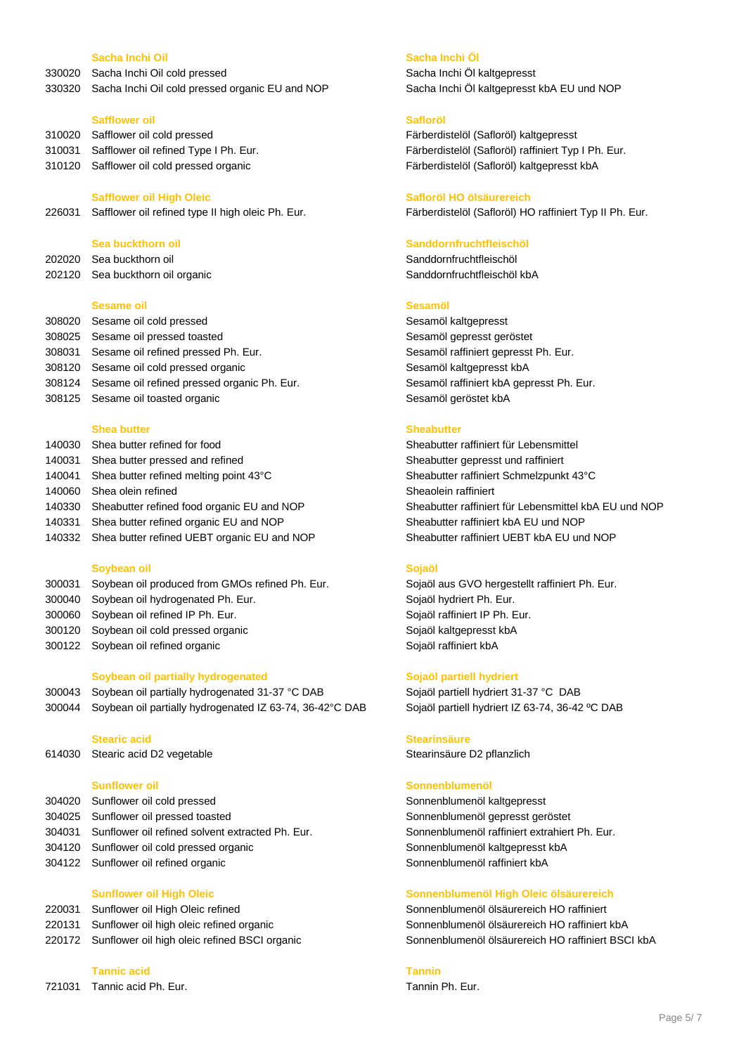### **Sacha Inchi Oil Sacha Inchi Öl**

330020 Sacha Inchi Oil cold pressed Sacha Inchi Öl kaltgepresst

330320 Sacha Inchi Oil cold pressed organic EU and NOP Sacha Inchi Öl kaltgepresst kbA EU und NOP

### **Safflower oil Safloröl**

310020 Safflower oil cold pressed Färberdistelöl (Safloröl) kaltgepresst 310120 Safflower oil cold pressed organic Färberdistelöl (Safloröl) kaltgepresst kbA

226031 Safflower oil refined type II high oleic Ph. Eur. Färberdistelöl (Safloröl) HO raffiniert Typ II Ph. Eur.

202020 Sea buckthorn oil Sanddornfruchtfleischöl 202120 Sea buckthorn oil organic Sanddornfruchtfleischöl kbA

### **Sesame oil Sesamöl**

308020 Sesame oil cold pressed Sesamöl kaltgepresst 308025 Sesame oil pressed toasted Sesamõl gepresst geröstet 308031 Sesame oil refined pressed Ph. Eur. Sesamöl raffiniert gepresst Ph. Eur. 308120 Sesame oil cold pressed organic Sesamöl kaltgepresst kbA 308124 Sesame oil refined pressed organic Ph. Eur. Sesamöl raffiniert kbA gepresst Ph. Eur. 308125 Sesame oil toasted organic Sesamõl geröstet kbA

### **Shea butter Sheabutter**

140030 Shea butter refined for food Sheabutter raffiniert für Lebensmittel 140031 Shea butter pressed and refined Sheabutter gepresst und raffiniert 140041 Shea butter refined melting point 43°C Sheabutter raffiniert Schmelzpunkt 43°C 140060 Shea olein refined Sheacher Sheadein raffiniert Sheaolein raffiniert 140330 Sheabutter refined food organic EU and NOP Sheabutter raffiniert für Lebensmittel kbA EU und NOP 140331 Shea butter refined organic EU and NOP Sheabutter raffiniert kbA EU und NOP 140332 Shea butter refined UEBT organic EU and NOP Sheabutter raffiniert UEBT kbA EU und NOP

### **Soybean oil Sojaöl**

- 300031 Soybean oil produced from GMOs refined Ph. Eur. Sojaöl aus GVO hergestellt raffiniert Ph. Eur. 300040 Soybean oil hydrogenated Ph. Eur. Sojaöl hydriert Ph. Eur.
- 300060 Soybean oil refined IP Ph. Eur. Sojaöl raffiniert IP Ph. Eur. Sojaöl raffiniert IP Ph. Eur.
- 300120 Soybean oil cold pressed organic Solam Sojaöl kaltgepresst kbA
- 300122 Soybean oil refined organic Sojaöl raffiniert kbA

### **Soybean oil partially hydrogenated Sojaöl partiell hydriert**

300043 Soybean oil partially hydrogenated 31-37 °C DAB Sojaöl partiell hydriert 31-37 °C DAB 300044 Soybean oil partially hydrogenated IZ 63-74, 36-42°C DAB Sojaöl partiell hydriert IZ 63-74, 36-42 °C DAB

614030 Stearic acid D2 vegetable Stearinsäure D2 pflanzlich

- 304020 Sunflower oil cold pressed Sonnenblumenöl kaltgepresst 304025 Sunflower oil pressed toasted Sonnenblumenöl gepresst geröstet
- 304031 Sunflower oil refined solvent extracted Ph. Eur. Sonnenblumenöl raffiniert extrahiert Ph. Eur.
- 304120 Sunflower oil cold pressed organic Sonnenblumenöl kaltgepresst kbA
- 304122 Sunflower oil refined organic Sonnenblumenöl raffiniert kbA

- 220031 Sunflower oil High Oleic refined Sonnenblumenöl ölsäurereich HO raffiniert
- 
- 

### **Tannic acid Tannin**

721031 Tannic acid Ph. Eur. Tannin Ph. Eur.

310031 Safflower oil refined Type I Ph. Eur. Färberdistelöl (Safloröl) raffiniert Typ I Ph. Eur.

### **Safflower oil High Oleic Safloröl HO ölsäurereich**

# **Sea buckthorn oil Sanddornfruchtfleischöl**

### **Stearic acid Stearinsäure**

### **Sunflower oil Sonnenblumenöl**

### **Sunflower oil High Oleic Sonnenblumenöl High Oleic ölsäurereich**

220131 Sunflower oil high oleic refined organic Sonnenblumenöl ölsäurereich HO raffiniert kbA 220172 Sunflower oil high oleic refined BSCI organic Sonnenblumenöl ölsäurereich HO raffiniert BSCI kbA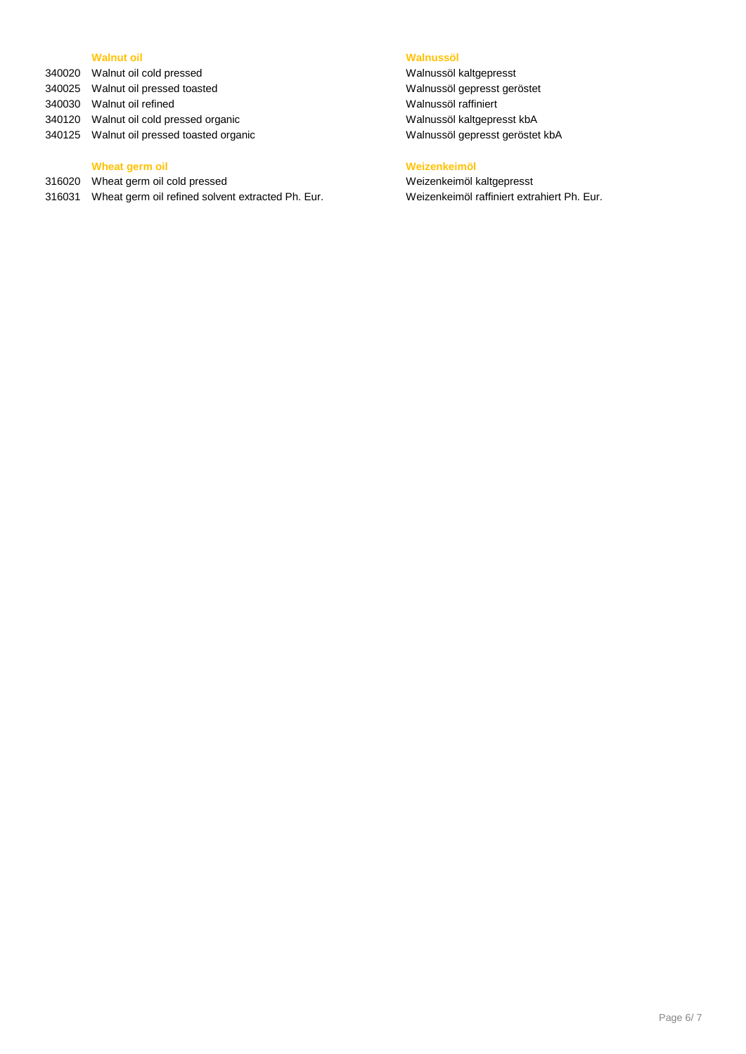# **Walnut oil Walnussöl**

340020 Walnut oil cold pressed Walnussöl kaltgepresst 340025 Walnut oil pressed toasted Walnussöl gepresst geröstet 340030 Walnut oil refined Walnussöl raffiniert 340120 Walnut oil cold pressed organic Walnussöl kaltgepresst kbA 340125 Walnut oil pressed toasted organic Walnussöl gepresst geröstet kbA

# **Wheat germ oil Weizenkeimöl**

316020 Wheat germ oil cold pressed Weizenkeimöl kaltgepresst

316031 Wheat germ oil refined solvent extracted Ph. Eur. Weizenkeimöl raffiniert extrahiert Ph. Eur.